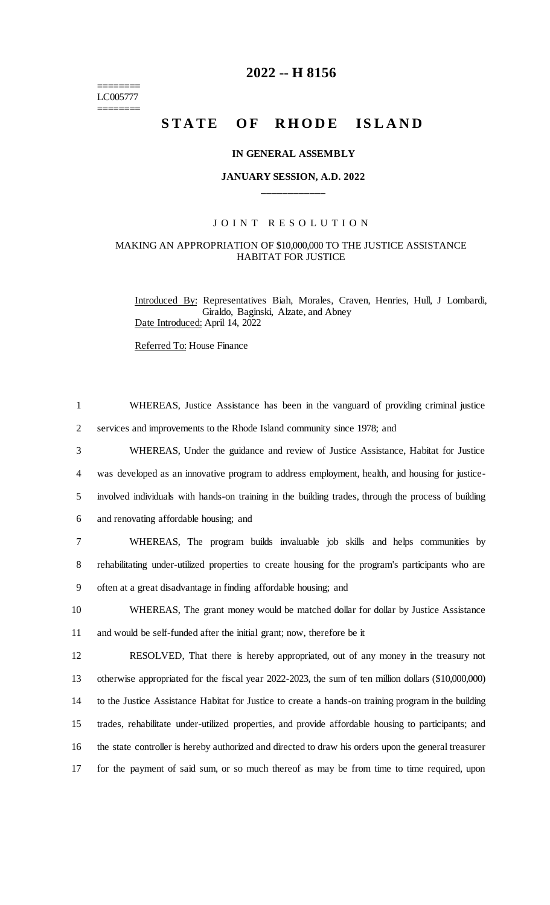======== LC005777 ========

## **2022 -- H 8156**

# STATE OF RHODE ISLAND

#### **IN GENERAL ASSEMBLY**

## **JANUARY SESSION, A.D. 2022 \_\_\_\_\_\_\_\_\_\_\_\_**

## JOINT RESOLUTION

#### MAKING AN APPROPRIATION OF \$10,000,000 TO THE JUSTICE ASSISTANCE HABITAT FOR JUSTICE

Introduced By: Representatives Biah, Morales, Craven, Henries, Hull, J Lombardi, Giraldo, Baginski, Alzate, and Abney Date Introduced: April 14, 2022

Referred To: House Finance

| WHEREAS, Justice Assistance has been in the vanguard of providing criminal justice                   |
|------------------------------------------------------------------------------------------------------|
| services and improvements to the Rhode Island community since 1978; and                              |
| WHEREAS, Under the guidance and review of Justice Assistance, Habitat for Justice                    |
| was developed as an innovative program to address employment, health, and housing for justice-       |
| involved individuals with hands-on training in the building trades, through the process of building  |
| and renovating affordable housing; and                                                               |
| WHEREAS, The program builds invaluable job skills and helps communities by                           |
| rehabilitating under-utilized properties to create housing for the program's participants who are    |
| often at a great disadvantage in finding affordable housing; and                                     |
| WHEREAS, The grant money would be matched dollar for dollar by Justice Assistance                    |
| and would be self-funded after the initial grant; now, therefore be it                               |
| RESOLVED, That there is hereby appropriated, out of any money in the treasury not                    |
| otherwise appropriated for the fiscal year 2022-2023, the sum of ten million dollars (\$10,000,000)  |
| to the Justice Assistance Habitat for Justice to create a hands-on training program in the building  |
| trades, rehabilitate under-utilized properties, and provide affordable housing to participants; and  |
| the state controller is hereby authorized and directed to draw his orders upon the general treasurer |
| for the payment of said sum, or so much thereof as may be from time to time required, upon           |
|                                                                                                      |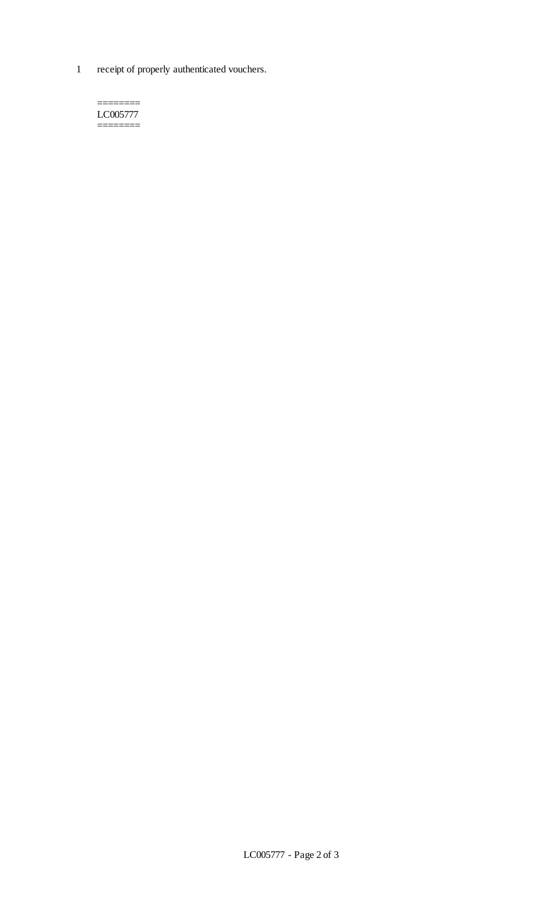1 receipt of properly authenticated vouchers.

======== LC005777 ========